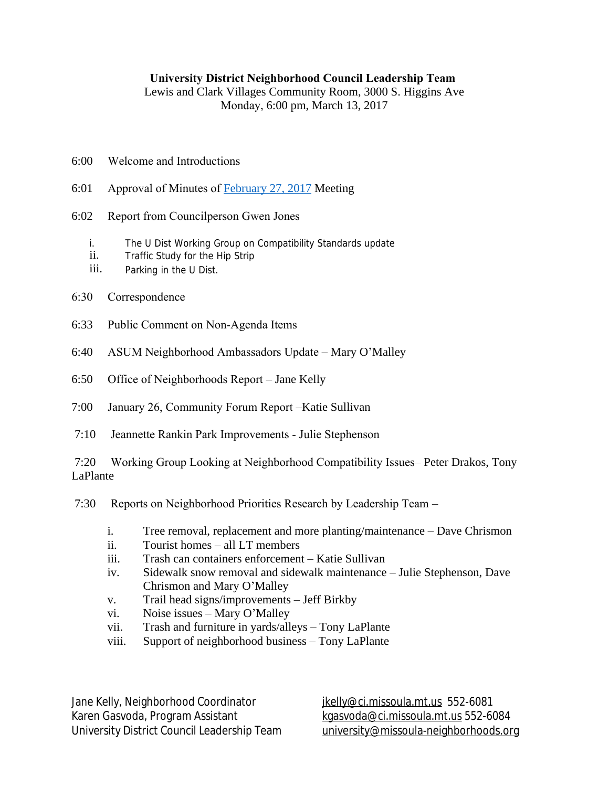## **University District Neighborhood Council Leadership Team**

Lewis and Clark Villages Community Room, 3000 S. Higgins Ave Monday, 6:00 pm, March 13, 2017

- 6:00 Welcome and Introductions
- 6:01 Approval of Minutes of [February 27, 2017](http://www.ci.missoula.mt.us/ArchiveCenter/ViewFile/Item/11265) Meeting
- 6:02 Report from Councilperson Gwen Jones
	- i. The U Dist Working Group on Compatibility Standards update
	- ii. Traffic Study for the Hip Strip
	- iii. Parking in the U Dist.
- 6:30 Correspondence
- 6:33 Public Comment on Non-Agenda Items
- 6:40 ASUM Neighborhood Ambassadors Update Mary O'Malley
- 6:50 Office of Neighborhoods Report Jane Kelly
- 7:00 January 26, Community Forum Report –Katie Sullivan
- 7:10 Jeannette Rankin Park Improvements Julie Stephenson

7:20 Working Group Looking at Neighborhood Compatibility Issues– Peter Drakos, Tony LaPlante

7:30 Reports on Neighborhood Priorities Research by Leadership Team –

- i. Tree removal, replacement and more planting/maintenance Dave Chrismon
- ii. Tourist homes all LT members
- iii. Trash can containers enforcement Katie Sullivan
- iv. Sidewalk snow removal and sidewalk maintenance Julie Stephenson, Dave Chrismon and Mary O'Malley
- v. Trail head signs/improvements Jeff Birkby
- vi. Noise issues Mary O'Malley
- vii. Trash and furniture in yards/alleys Tony LaPlante
- viii. Support of neighborhood business Tony LaPlante

Jane Kelly, Neighborhood Coordinator in itelly@ci.missoula.mt.us 552-6081 Karen Gasvoda, Program Assistant [kgasvoda@ci.missoula.mt.us](mailto:kgasvoda@ci.missoula.mt.us) 552-6084 University District Council Leadership Team [university@missoula-neighborhoods.org](mailto:university@missoula-neighborhoods.org)